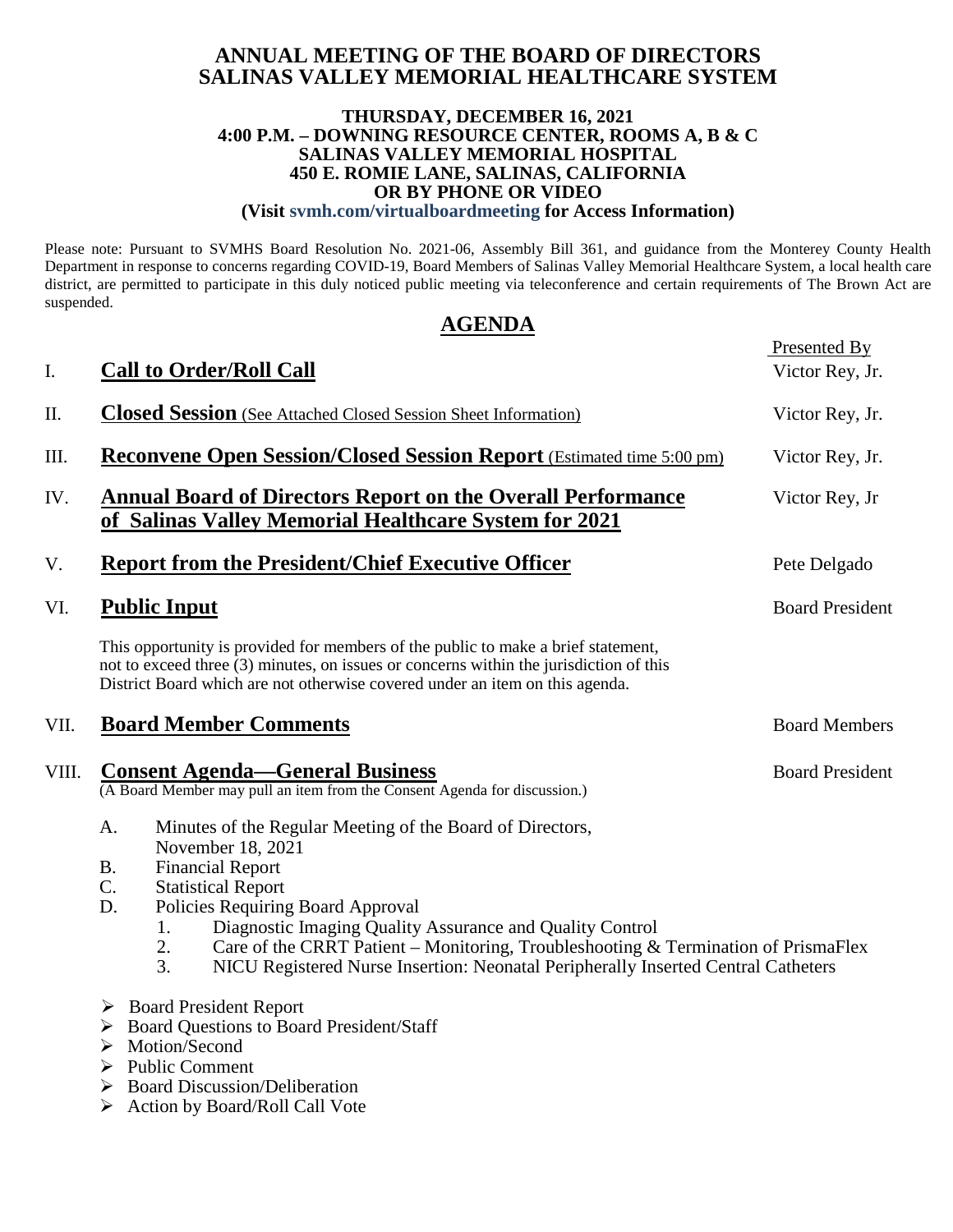### **ANNUAL MEETING OF THE BOARD OF DIRECTORS SALINAS VALLEY MEMORIAL HEALTHCARE SYSTEM**

#### **THURSDAY, DECEMBER 16, 2021 4:00 P.M. – DOWNING RESOURCE CENTER, ROOMS A, B & C SALINAS VALLEY MEMORIAL HOSPITAL 450 E. ROMIE LANE, SALINAS, CALIFORNIA OR BY PHONE OR VIDEO (Visit svmh.com/virtualboardmeeting for Access Information)**

Please note: Pursuant to SVMHS Board Resolution No. 2021-06, Assembly Bill 361, and guidance from the Monterey County Health Department in response to concerns regarding COVID-19, Board Members of Salinas Valley Memorial Healthcare System, a local health care district, are permitted to participate in this duly noticed public meeting via teleconference and certain requirements of The Brown Act are suspended.

## **AGENDA**

Presented By

| I.    | <b>Call to Order/Roll Call</b>                                                                                                                                                                                                                                                                                                                                                                                                                                      | <u>riesemed by</u><br>Victor Rey, Jr. |
|-------|---------------------------------------------------------------------------------------------------------------------------------------------------------------------------------------------------------------------------------------------------------------------------------------------------------------------------------------------------------------------------------------------------------------------------------------------------------------------|---------------------------------------|
| II.   | <b>Closed Session</b> (See Attached Closed Session Sheet Information)                                                                                                                                                                                                                                                                                                                                                                                               | Victor Rey, Jr.                       |
| Ш.    | <b>Reconvene Open Session/Closed Session Report</b> (Estimated time 5:00 pm)                                                                                                                                                                                                                                                                                                                                                                                        | Victor Rey, Jr.                       |
| IV.   | <b>Annual Board of Directors Report on the Overall Performance</b><br>of Salinas Valley Memorial Healthcare System for 2021                                                                                                                                                                                                                                                                                                                                         | Victor Rey, Jr                        |
| V.    | <b>Report from the President/Chief Executive Officer</b>                                                                                                                                                                                                                                                                                                                                                                                                            | Pete Delgado                          |
| VI.   | <b>Public Input</b>                                                                                                                                                                                                                                                                                                                                                                                                                                                 | <b>Board President</b>                |
|       | This opportunity is provided for members of the public to make a brief statement,<br>not to exceed three (3) minutes, on issues or concerns within the jurisdiction of this<br>District Board which are not otherwise covered under an item on this agenda.                                                                                                                                                                                                         |                                       |
| VII.  | <b>Board Member Comments</b>                                                                                                                                                                                                                                                                                                                                                                                                                                        | <b>Board Members</b>                  |
| VIII. | <b>Consent Agenda—General Business</b><br>(A Board Member may pull an item from the Consent Agenda for discussion.)                                                                                                                                                                                                                                                                                                                                                 | <b>Board President</b>                |
|       | A.<br>Minutes of the Regular Meeting of the Board of Directors,<br>November 18, 2021<br><b>Financial Report</b><br><b>B.</b><br>C.<br><b>Statistical Report</b><br>D.<br>Policies Requiring Board Approval<br>Diagnostic Imaging Quality Assurance and Quality Control<br>1.<br>Care of the CRRT Patient – Monitoring, Troubleshooting & Termination of PrismaFlex<br>2.<br>3.<br>NICU Registered Nurse Insertion: Neonatal Peripherally Inserted Central Catheters |                                       |
|       | $\triangleright$ Board President Report<br><b>Board Questions to Board President/Staff</b><br>➤<br>Motion/Second<br>➤<br><b>Public Comment</b><br>➤<br><b>Board Discussion/Deliberation</b><br>$\blacktriangleright$<br>Action by Board/Roll Call Vote<br>➤                                                                                                                                                                                                         |                                       |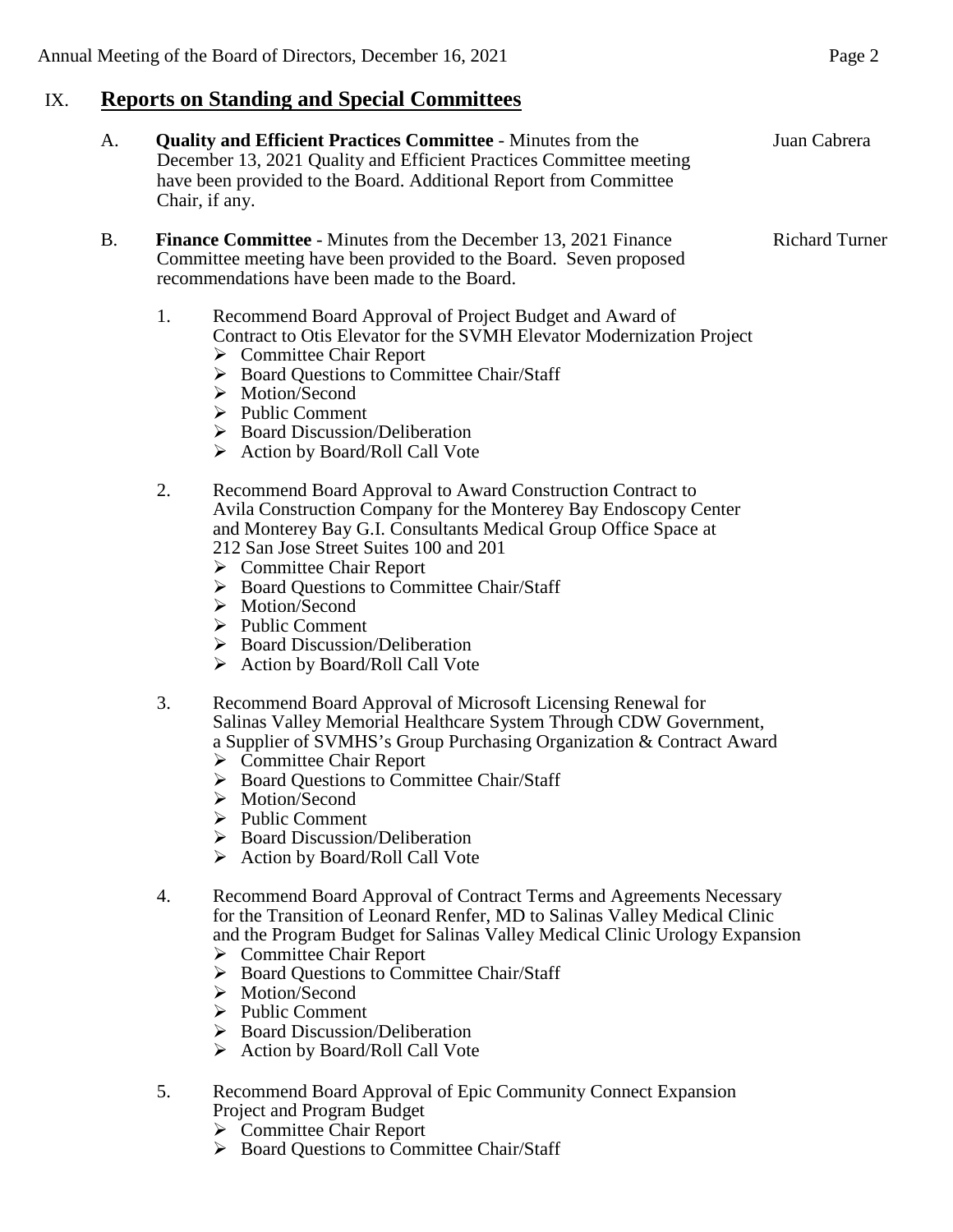## IX. **Reports on Standing and Special Committees**

December 13, 2021 Quality and Efficient Practices Committee meeting have been provided to the Board. Additional Report from Committee Chair, if any. B. **Finance Committee** - Minutes from the December 13, 2021 Finance Richard Turner Committee meeting have been provided to the Board. Seven proposed recommendations have been made to the Board. 1. Recommend Board Approval of Project Budget and Award of Contract to Otis Elevator for the SVMH Elevator Modernization Project  $\triangleright$  Committee Chair Report ▶ Board Questions to Committee Chair/Staff > Motion/Second  $\triangleright$  Public Comment  $\triangleright$  Board Discussion/Deliberation Action by Board/Roll Call Vote 2. Recommend Board Approval to Award Construction Contract to Avila Construction Company for the Monterey Bay Endoscopy Center and Monterey Bay G.I. Consultants Medical Group Office Space at 212 San Jose Street Suites 100 and 201 **►** Committee Chair Report  $\triangleright$  Board Questions to Committee Chair/Staff > Motion/Second  $\triangleright$  Public Comment  $\triangleright$  Board Discussion/Deliberation  $\triangleright$  Action by Board/Roll Call Vote 3. Recommend Board Approval of Microsoft Licensing Renewal for Salinas Valley Memorial Healthcare System Through CDW Government, a Supplier of SVMHS's Group Purchasing Organization & Contract Award  $\triangleright$  Committee Chair Report  $\triangleright$  Board Ouestions to Committee Chair/Staff > Motion/Second  $\triangleright$  Public Comment ▶ Board Discussion/Deliberation  $\triangleright$  Action by Board/Roll Call Vote 4. Recommend Board Approval of Contract Terms and Agreements Necessary for the Transition of Leonard Renfer, MD to Salinas Valley Medical Clinic and the Program Budget for Salinas Valley Medical Clinic Urology Expansion  $\triangleright$  Committee Chair Report ▶ Board Questions to Committee Chair/Staff > Motion/Second  $\triangleright$  Public Comment  $\triangleright$  Board Discussion/Deliberation  $\triangleright$  Action by Board/Roll Call Vote 5. Recommend Board Approval of Epic Community Connect Expansion Project and Program Budget  $\triangleright$  Committee Chair Report

A. **Quality and Efficient Practices Committee** - Minutes from the Juan Cabrera

 $\triangleright$  Board Questions to Committee Chair/Staff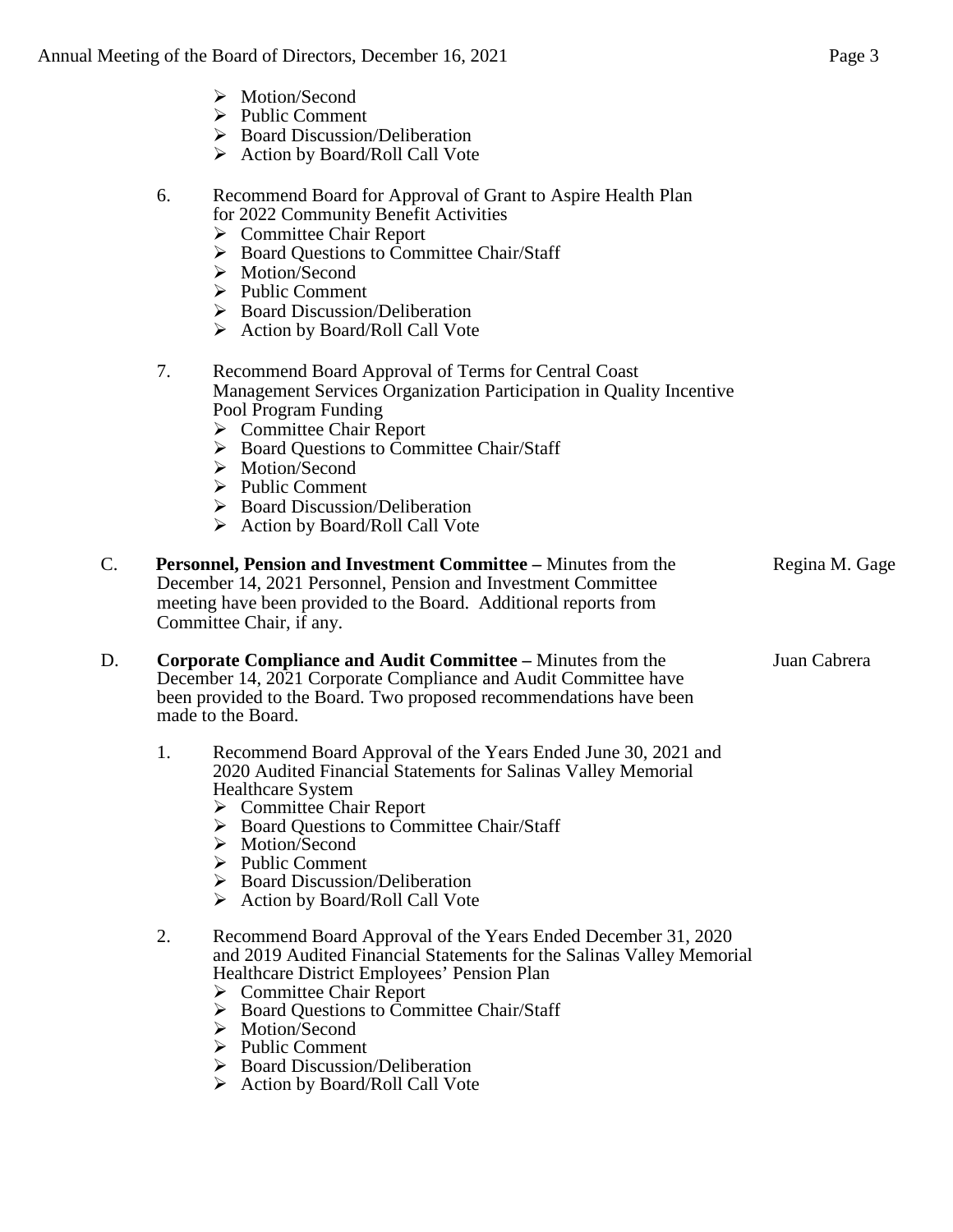- > Motion/Second
- $\triangleright$  Public Comment
- $\triangleright$  Board Discussion/Deliberation
- $\triangleright$  Action by Board/Roll Call Vote
- 6. Recommend Board for Approval of Grant to Aspire Health Plan for 2022 Community Benefit Activities
	- $\triangleright$  Committee Chair Report
	- $\triangleright$  Board Questions to Committee Chair/Staff
	- > Motion/Second
	- $\triangleright$  Public Comment
	- $\triangleright$  Board Discussion/Deliberation
	- $\triangleright$  Action by Board/Roll Call Vote
- 7. Recommend Board Approval of Terms for Central Coast Management Services Organization Participation in Quality Incentive Pool Program Funding
	- **►** Committee Chair Report
	- $\triangleright$  Board Questions to Committee Chair/Staff
	- > Motion/Second
	- $\triangleright$  Public Comment
	- $\triangleright$  Board Discussion/Deliberation
	- $\triangleright$  Action by Board/Roll Call Vote
- C. **Personnel, Pension and Investment Committee –** Minutes from the Regina M. Gage December 14, 2021 Personnel, Pension and Investment Committee meeting have been provided to the Board. Additional reports from Committee Chair, if any.

### D. **Corporate Compliance and Audit Committee –** Minutes from the Juan Cabrera December 14, 2021 Corporate Compliance and Audit Committee have been provided to the Board. Two proposed recommendations have been made to the Board.

- 1. Recommend Board Approval of the Years Ended June 30, 2021 and 2020 Audited Financial Statements for Salinas Valley Memorial Healthcare System
	- **►** Committee Chair Report
	- ▶ Board Ouestions to Committee Chair/Staff
	- > Motion/Second
	- $\triangleright$  Public Comment
	- $\triangleright$  Board Discussion/Deliberation
	- $\triangleright$  Action by Board/Roll Call Vote

### 2. Recommend Board Approval of the Years Ended December 31, 2020 and 2019 Audited Financial Statements for the Salinas Valley Memorial Healthcare District Employees' Pension Plan

- **►** Committee Chair Report
- ▶ Board Questions to Committee Chair/Staff
- > Motion/Second
- $\triangleright$  Public Comment
- $\triangleright$  Board Discussion/Deliberation
- $\triangleright$  Action by Board/Roll Call Vote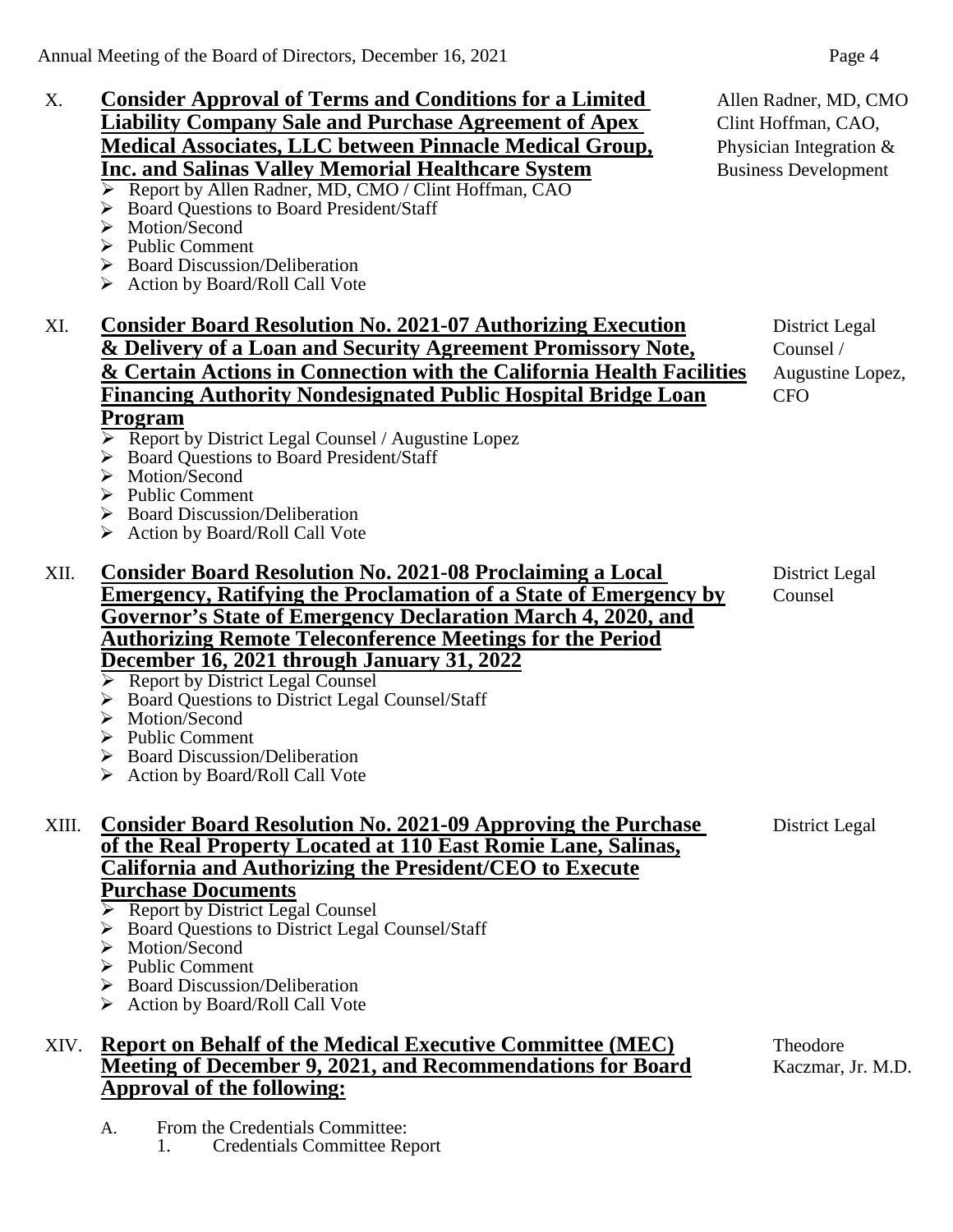# X. **Consider Approval of Terms and Conditions for a Limited** Allen Radner, MD, CMO **Liability Company Sale and Purchase Agreement of Apex** Clint Hoffman, CAO, **Medical Associates, LLC between Pinnacle Medical Group,** Physician Integration & **Inc. and Salinas Valley Memorial Healthcare System** Business Development <br>
Person by Allen Radner, MD, CMO / Clint Hoffman, CAO

- Report by Allen Radner, MD, CMO / Clint Hoffman, CAO
- Board Questions to Board President/Staff
- > Motion/Second
- $\triangleright$  Public Comment
- $\triangleright$  Board Discussion/Deliberation
- $\triangleright$  Action by Board/Roll Call Vote

# XI. **Consider Board Resolution No. 2021-07 Authorizing Execution** District Legal **& Delivery of a Loan and Security Agreement Promissory Note,** Counsel / **&** Certain Actions in Connection with the California Health Facilities Augustine Lopez, **Financing Authority Nondesignated Public Hospital Bridge Loan** CFO **Program**

- $\triangleright$  Report by District Legal Counsel / Augustine Lopez
- ▶ Board Ouestions to Board President/Staff
- > Motion/Second
- $\triangleright$  Public Comment
- ▶ Board Discussion/Deliberation
- $\triangleright$  Action by Board/Roll Call Vote

# XII. **Consider Board Resolution No. 2021-08 Proclaiming a Local** District Legal **Emergency, Ratifying the Proclamation of a State of Emergency by** Counsel **Governor's State of Emergency Declaration March 4, 2020, and Authorizing Remote Teleconference Meetings for the Period December 16, 2021 through January 31, 2022**

- **Report by District Legal Counsel**
- ▶ Board Questions to District Legal Counsel/Staff
- > Motion/Second
- $\triangleright$  Public Comment
- $\triangleright$  Board Discussion/Deliberation
- ▶ Action by Board/Roll Call Vote

XIII. **Consider Board Resolution No. 2021-09 Approving the Purchase** District Legal **of the Real Property Located at 110 East Romie Lane, Salinas, California and Authorizing the President/CEO to Execute Purchase Documents** 

- $\triangleright$  Report by District Legal Counsel
- ▶ Board Questions to District Legal Counsel/Staff
- > Motion/Second
- $\triangleright$  Public Comment
- Board Discussion/Deliberation
- Action by Board/Roll Call Vote

# XIV. **Report on Behalf of the Medical Executive Committee (MEC)** Theodore **Meeting of December 9, 2021, and Recommendations for Board** Kaczmar, Jr. M.D. **Approval of the following:**

A. From the Credentials Committee:

1. Credentials Committee Report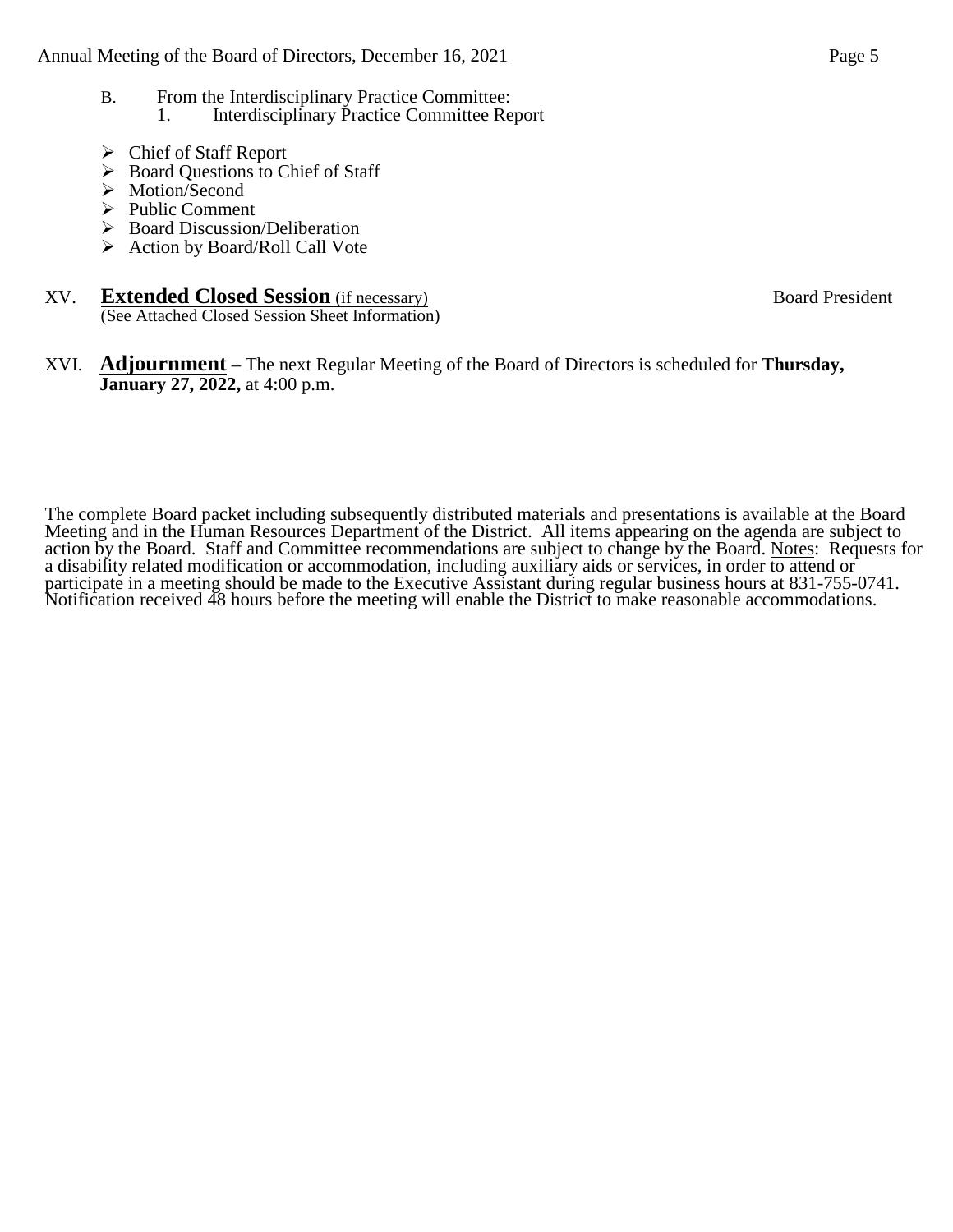- B. From the Interdisciplinary Practice Committee: 1. Interdisciplinary Practice Committee Report
- Chief of Staff Report
- $\triangleright$  Board Questions to Chief of Staff
- > Motion/Second
- $\triangleright$  Public Comment
- $\triangleright$  Board Discussion/Deliberation
- $\triangleright$  Action by Board/Roll Call Vote

#### XV. **Extended Closed Session** (if necessary) Board President

(See Attached Closed Session Sheet Information)

### XVI. **Adjournment** – The next Regular Meeting of the Board of Directors is scheduled for **Thursday, January 27, 2022,** at 4:00 p.m.

The complete Board packet including subsequently distributed materials and presentations is available at the Board Meeting and in the Human Resources Department of the District. All items appearing on the agenda are subject to action by the Board. Staff and Committee recommendations are subject to change by the Board. Notes: Requests for a disability related modification or accommodation, including auxiliary aids or services, in order to attend or participate in a meeting should be made to the Executive Assistant during regular business hours at 831-755-0741. Notification received 48 hours before the meeting will enable the District to make reasonable accommodations.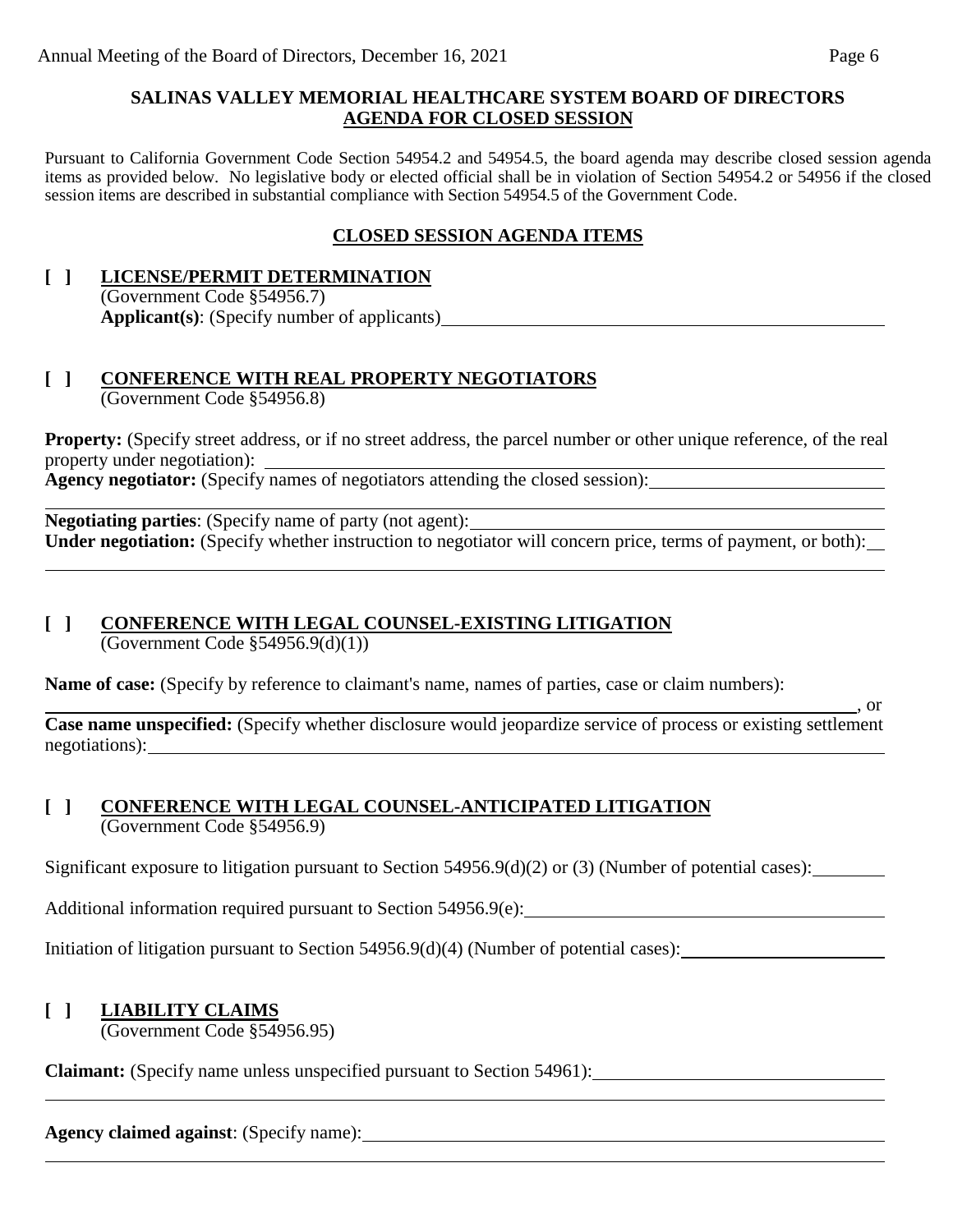### **SALINAS VALLEY MEMORIAL HEALTHCARE SYSTEM BOARD OF DIRECTORS AGENDA FOR CLOSED SESSION**

Pursuant to California Government Code Section 54954.2 and 54954.5, the board agenda may describe closed session agenda items as provided below. No legislative body or elected official shall be in violation of Section 54954.2 or 54956 if the closed session items are described in substantial compliance with Section 54954.5 of the Government Code.

# **CLOSED SESSION AGENDA ITEMS**

### **[ ] LICENSE/PERMIT DETERMINATION** (Government Code §54956.7) **Applicant(s)**: (Specify number of applicants)

### **[ ] CONFERENCE WITH REAL PROPERTY NEGOTIATORS** (Government Code §54956.8)

**Property:** (Specify street address, or if no street address, the parcel number or other unique reference, of the real property under negotiation): Agency negotiator: (Specify names of negotiators attending the closed session):

**Negotiating parties**: (Specify name of party (not agent): **Under negotiation:** (Specify whether instruction to negotiator will concern price, terms of payment, or both):

# **[ ] CONFERENCE WITH LEGAL COUNSEL-EXISTING LITIGATION**

(Government Code  $$54956.9(d)(1))$ )

**Name of case:** (Specify by reference to claimant's name, names of parties, case or claim numbers):

 $\overline{\phantom{0}}$ , or **Case name unspecified:** (Specify whether disclosure would jeopardize service of process or existing settlement negotiations):

### **[ ] CONFERENCE WITH LEGAL COUNSEL-ANTICIPATED LITIGATION** (Government Code §54956.9)

Significant exposure to litigation pursuant to Section 54956.9(d)(2) or (3) (Number of potential cases):

Additional information required pursuant to Section 54956.9(e):

Initiation of litigation pursuant to Section 54956.9(d)(4) (Number of potential cases):

### **[ ] LIABILITY CLAIMS**

(Government Code §54956.95)

**Claimant:** (Specify name unless unspecified pursuant to Section 54961):

**Agency claimed against**: (Specify name):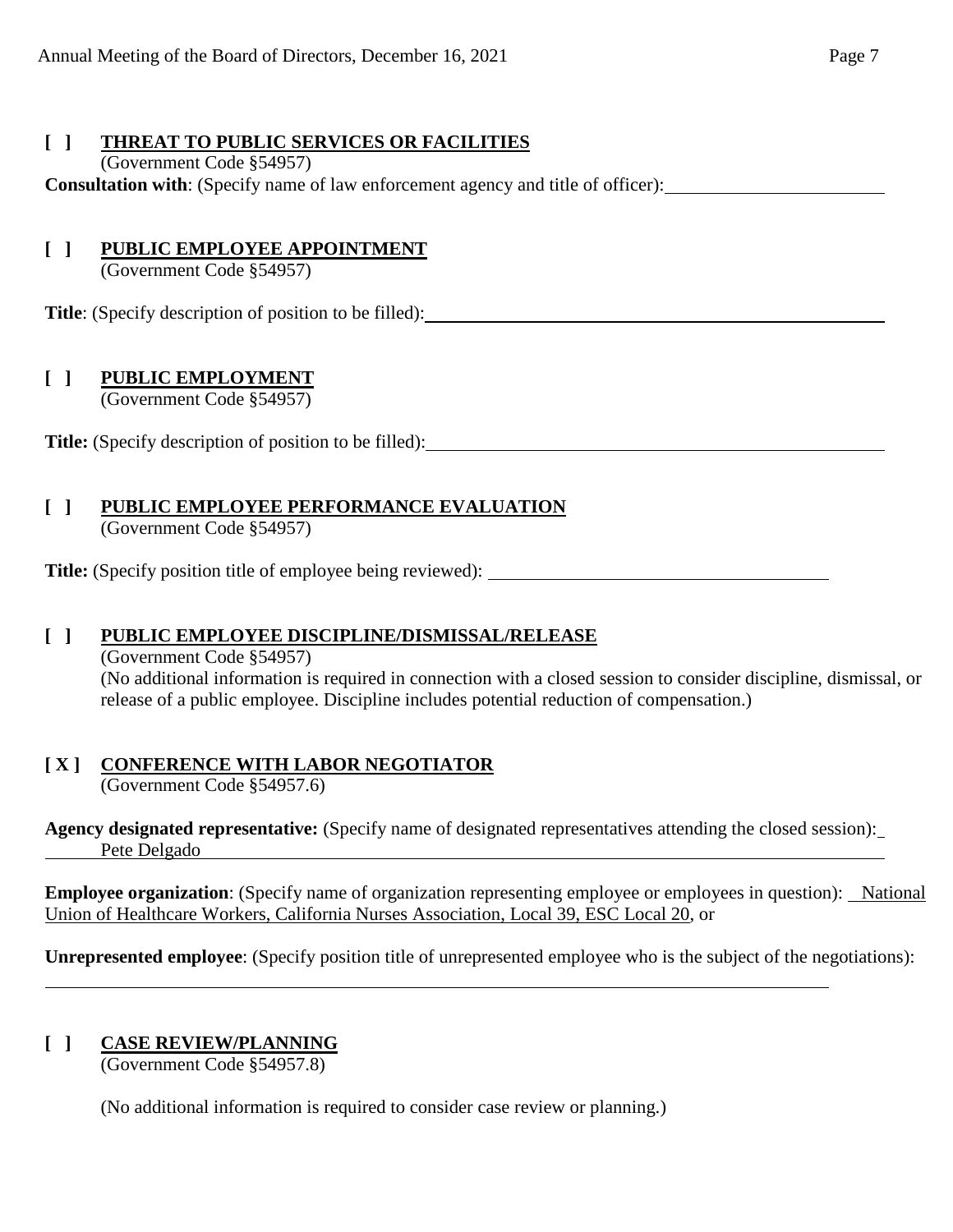## **[ ] THREAT TO PUBLIC SERVICES OR FACILITIES**

### (Government Code §54957)

**Consultation with**: (Specify name of law enforcement agency and title of officer):

# **[ ] PUBLIC EMPLOYEE APPOINTMENT**

(Government Code §54957)

**Title**: (Specify description of position to be filled):

# **[ ] PUBLIC EMPLOYMENT**

(Government Code §54957)

**Title:** (Specify description of position to be filled):

# **[ ] PUBLIC EMPLOYEE PERFORMANCE EVALUATION**

(Government Code §54957)

**Title:** (Specify position title of employee being reviewed):

# **[ ] PUBLIC EMPLOYEE DISCIPLINE/DISMISSAL/RELEASE**

(Government Code §54957)

(No additional information is required in connection with a closed session to consider discipline, dismissal, or release of a public employee. Discipline includes potential reduction of compensation.)

# **[ X ] CONFERENCE WITH LABOR NEGOTIATOR**

(Government Code §54957.6)

**Agency designated representative:** (Specify name of designated representatives attending the closed session): Pete Delgado estableceu estableceu estableceu estableceu estableceu estableceu estableceu estableceu establece

**Employee organization**: (Specify name of organization representing employee or employees in question): National Union of Healthcare Workers, California Nurses Association, Local 39, ESC Local 20, or

**Unrepresented employee**: (Specify position title of unrepresented employee who is the subject of the negotiations):

# **[ ] CASE REVIEW/PLANNING**

(Government Code §54957.8)

(No additional information is required to consider case review or planning.)